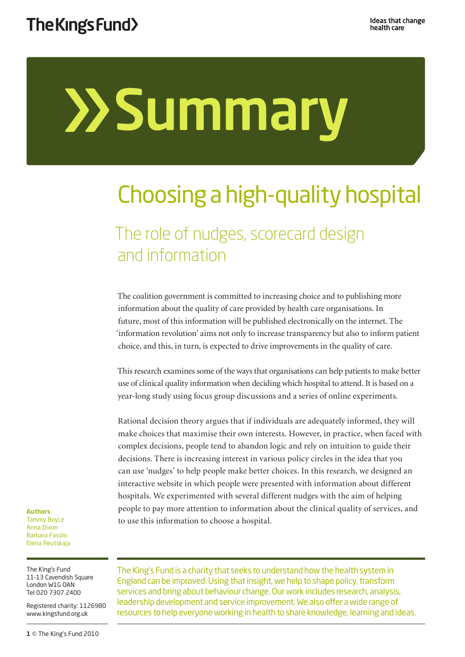# **>>Summary**

## Choosing a high-quality hospital

### The role of nudges, scorecard design and information

The coalition government is committed to increasing choice and to publishing more information about the quality of care provided by health care organisations. In future, most of this information will be published electronically on the internet. The 'information revolution' aims not only to increase transparency but also to inform patient choice, and this, in turn, is expected to drive improvements in the quality of care.

This research examines some of the ways that organisations can help patients to make better use of clinical quality information when deciding which hospital to attend. It is based on a year-long study using focus group discussions and a series of online experiments.

Rational decision theory argues that if individuals are adequately informed, they will make choices that maximise their own interests. However, in practice, when faced with complex decisions, people tend to abandon logic and rely on intuition to guide their decisions. There is increasing interest in various policy circles in the idea that you can use 'nudges' to help people make better choices. In this research, we designed an interactive website in which people were presented with information about different hospitals. We experimented with several different nudges with the aim of helping people to pay more attention to information about the clinical quality of services, and to use this information to choose a hospital.

#### **Authors**  Tammy Boyce Anna Dixon Barbara Fasolo Elena Reutskaja

The King's Fund 11–13 Cavendish Square London W1G OAN Tel 020 7307 2400

Registered charity: 1126980 www.kingsfund.org.uk

1 © The King's Fund 2010

The King's Fund is a charity that seeks to understand how the health system in England can be improved. Using that insight, we help to shape policy, transform services and bring about behaviour change. Our work includes research, analysis, leadership development and service improvement. We also offer a wide range of resources to help everyone working in health to share knowledge, learning and ideas.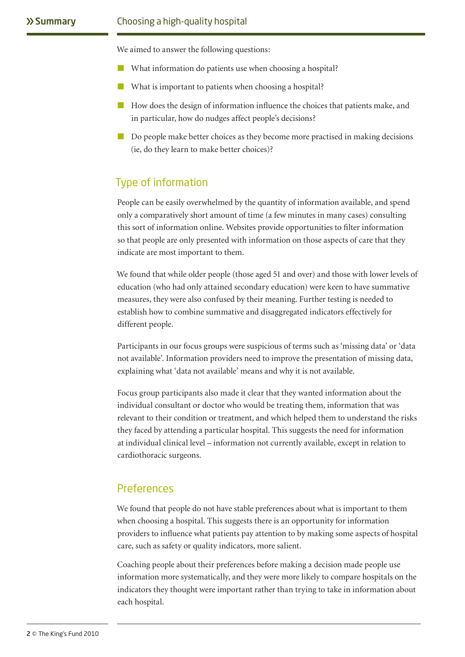We aimed to answer the following questions:

- What information do patients use when choosing a hospital?
- What is important to patients when choosing a hospital?
- How does the design of information influence the choices that patients make, and in particular, how do nudges affect people's decisions?
- Do people make better choices as they become more practised in making decisions (ie, do they learn to make better choices)?

#### Type of information

People can be easily overwhelmed by the quantity of information available, and spend only a comparatively short amount of time (a few minutes in many cases) consulting this sort of information online. Websites provide opportunities to filter information so that people are only presented with information on those aspects of care that they indicate are most important to them.

We found that while older people (those aged 51 and over) and those with lower levels of education (who had only attained secondary education) were keen to have summative measures, they were also confused by their meaning. Further testing is needed to establish how to combine summative and disaggregated indicators effectively for different people.

Participants in our focus groups were suspicious of terms such as 'missing data' or 'data not available'. Information providers need to improve the presentation of missing data, explaining what 'data not available' means and why it is not available.

Focus group participants also made it clear that they wanted information about the individual consultant or doctor who would be treating them, information that was relevant to their condition or treatment, and which helped them to understand the risks they faced by attending a particular hospital. This suggests the need for information at individual clinical level – information not currently available, except in relation to cardiothoracic surgeons.

#### **Preferences**

We found that people do not have stable preferences about what is important to them when choosing a hospital. This suggests there is an opportunity for information providers to influence what patients pay attention to by making some aspects of hospital care, such as safety or quality indicators, more salient.

Coaching people about their preferences before making a decision made people use information more systematically, and they were more likely to compare hospitals on the indicators they thought were important rather than trying to take in information about each hospital.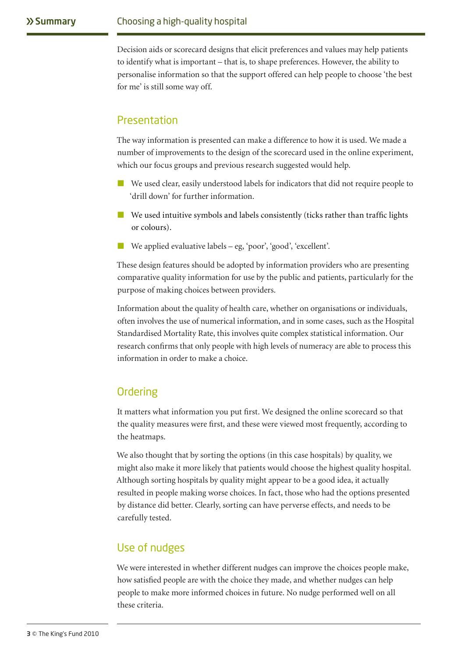Decision aids or scorecard designs that elicit preferences and values may help patients to identify what is important – that is, to shape preferences. However, the ability to personalise information so that the support offered can help people to choose 'the best for me' is still some way off.

#### Presentation

The way information is presented can make a difference to how it is used. We made a number of improvements to the design of the scorecard used in the online experiment, which our focus groups and previous research suggested would help.

- We used clear, easily understood labels for indicators that did not require people to 'drill down' for further information.
- We used intuitive symbols and labels consistently (ticks rather than traffic lights or colours).
- We applied evaluative labels eg, 'poor', 'good', 'excellent'.

These design features should be adopted by information providers who are presenting comparative quality information for use by the public and patients, particularly for the purpose of making choices between providers.

Information about the quality of health care, whether on organisations or individuals, often involves the use of numerical information, and in some cases, such as the Hospital Standardised Mortality Rate, this involves quite complex statistical information. Our research confirms that only people with high levels of numeracy are able to process this information in order to make a choice.

#### **Ordering**

It matters what information you put first. We designed the online scorecard so that the quality measures were first, and these were viewed most frequently, according to the heatmaps.

We also thought that by sorting the options (in this case hospitals) by quality, we might also make it more likely that patients would choose the highest quality hospital. Although sorting hospitals by quality might appear to be a good idea, it actually resulted in people making worse choices. In fact, those who had the options presented by distance did better. Clearly, sorting can have perverse effects, and needs to be carefully tested.

#### Use of nudges

We were interested in whether different nudges can improve the choices people make, how satisfied people are with the choice they made, and whether nudges can help people to make more informed choices in future. No nudge performed well on all these criteria.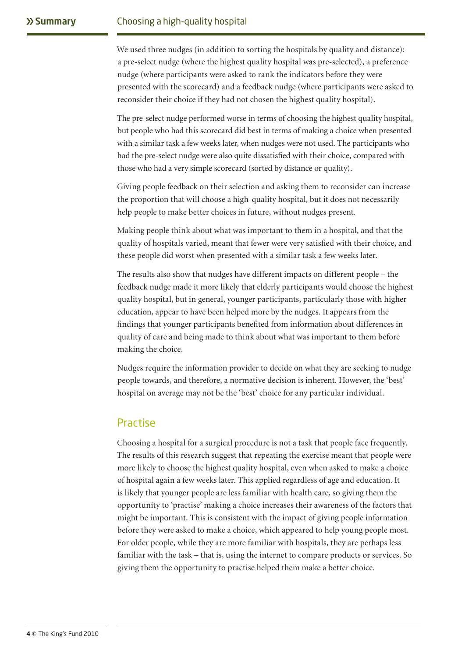We used three nudges (in addition to sorting the hospitals by quality and distance): a pre-select nudge (where the highest quality hospital was pre-selected), a preference nudge (where participants were asked to rank the indicators before they were presented with the scorecard) and a feedback nudge (where participants were asked to reconsider their choice if they had not chosen the highest quality hospital).

The pre-select nudge performed worse in terms of choosing the highest quality hospital, but people who had this scorecard did best in terms of making a choice when presented with a similar task a few weeks later, when nudges were not used. The participants who had the pre-select nudge were also quite dissatisfied with their choice, compared with those who had a very simple scorecard (sorted by distance or quality).

Giving people feedback on their selection and asking them to reconsider can increase the proportion that will choose a high-quality hospital, but it does not necessarily help people to make better choices in future, without nudges present.

Making people think about what was important to them in a hospital, and that the quality of hospitals varied, meant that fewer were very satisfied with their choice, and these people did worst when presented with a similar task a few weeks later.

The results also show that nudges have different impacts on different people – the feedback nudge made it more likely that elderly participants would choose the highest quality hospital, but in general, younger participants, particularly those with higher education, appear to have been helped more by the nudges. It appears from the findings that younger participants benefited from information about differences in quality of care and being made to think about what was important to them before making the choice.

Nudges require the information provider to decide on what they are seeking to nudge people towards, and therefore, a normative decision is inherent. However, the 'best' hospital on average may not be the 'best' choice for any particular individual.

#### Practise

Choosing a hospital for a surgical procedure is not a task that people face frequently. The results of this research suggest that repeating the exercise meant that people were more likely to choose the highest quality hospital, even when asked to make a choice of hospital again a few weeks later. This applied regardless of age and education. It is likely that younger people are less familiar with health care, so giving them the opportunity to 'practise' making a choice increases their awareness of the factors that might be important. This is consistent with the impact of giving people information before they were asked to make a choice, which appeared to help young people most. For older people, while they are more familiar with hospitals, they are perhaps less familiar with the task – that is, using the internet to compare products or services. So giving them the opportunity to practise helped them make a better choice.